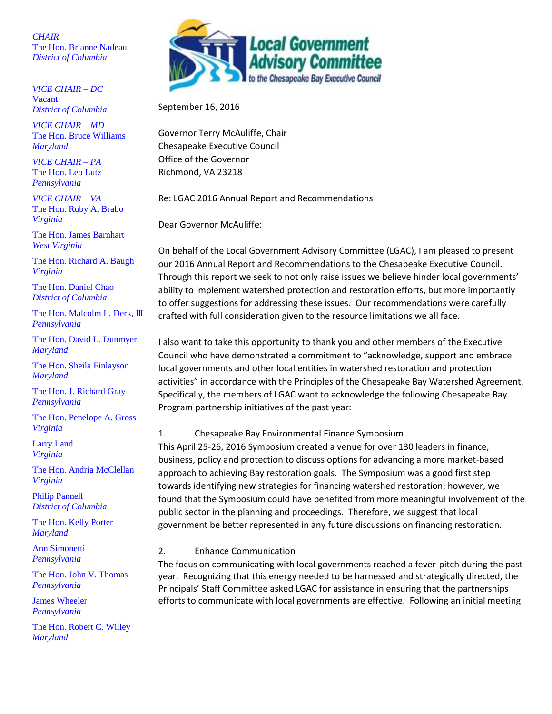*CHAIR* The Hon. Brianne Nadeau *District of Columbia*

*VICE CHAIR – DC* Vacant *District of Columbia* 

*VICE CHAIR – MD* The Hon. Bruce Williams *Maryland*

*VICE CHAIR – PA* The Hon. Leo Lutz *Pennsylvania*

*VICE CHAIR – VA* The Hon. Ruby A. Brabo *Virginia*

The Hon. James Barnhart *West Virginia*

The Hon. Richard A. Baugh *Virginia*

The Hon. Daniel Chao *District of Columbia*

The Hon. Malcolm L. Derk, III *Pennsylvania*

The Hon. David L. Dunmyer *Maryland*

The Hon. Sheila Finlayson *Maryland*

The Hon. J. Richard Gray *Pennsylvania*

The Hon. Penelope A. Gross *Virginia*

Larry Land *Virginia*

The Hon. Andria McClellan *Virginia*

Philip Pannell *District of Columbia*

The Hon. Kelly Porter *Maryland*

Ann Simonetti *Pennsylvania*

The Hon. John V. Thomas *Pennsylvania*

James Wheeler *Pennsylvania* 

The Hon. Robert C. Willey *Maryland*



September 16, 2016

Governor Terry McAuliffe, Chair Chesapeake Executive Council Office of the Governor Richmond, VA 23218

Re: LGAC 2016 Annual Report and Recommendations

Dear Governor McAuliffe:

On behalf of the Local Government Advisory Committee (LGAC), I am pleased to present our 2016 Annual Report and Recommendations to the Chesapeake Executive Council. Through this report we seek to not only raise issues we believe hinder local governments' ability to implement watershed protection and restoration efforts, but more importantly to offer suggestions for addressing these issues. Our recommendations were carefully crafted with full consideration given to the resource limitations we all face.

I also want to take this opportunity to thank you and other members of the Executive Council who have demonstrated a commitment to "acknowledge, support and embrace local governments and other local entities in watershed restoration and protection activities" in accordance with the Principles of the Chesapeake Bay Watershed Agreement. Specifically, the members of LGAC want to acknowledge the following Chesapeake Bay Program partnership initiatives of the past year:

### 1. Chesapeake Bay Environmental Finance Symposium

This April 25-26, 2016 Symposium created a venue for over 130 leaders in finance, business, policy and protection to discuss options for advancing a more market-based approach to achieving Bay restoration goals. The Symposium was a good first step towards identifying new strategies for financing watershed restoration; however, we found that the Symposium could have benefited from more meaningful involvement of the public sector in the planning and proceedings. Therefore, we suggest that local government be better represented in any future discussions on financing restoration.

### 2. Enhance Communication

The focus on communicating with local governments reached a fever-pitch during the past year. Recognizing that this energy needed to be harnessed and strategically directed, the Principals' Staff Committee asked LGAC for assistance in ensuring that the partnerships efforts to communicate with local governments are effective. Following an initial meeting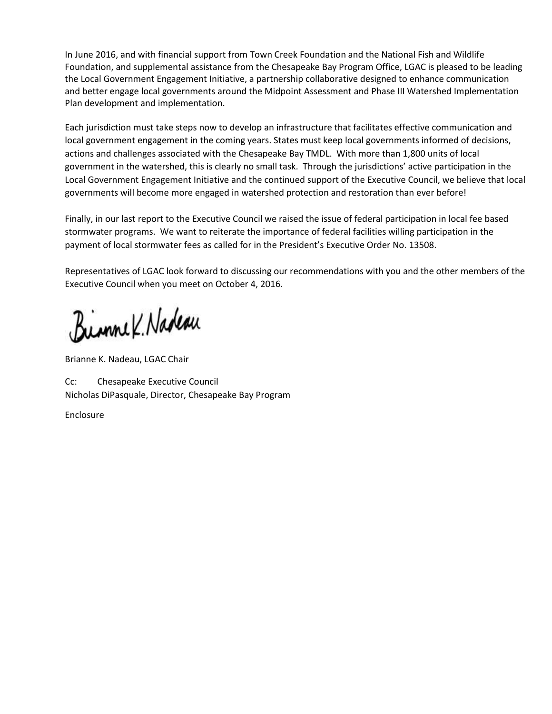In June 2016, and with financial support from Town Creek Foundation and the National Fish and Wildlife Foundation, and supplemental assistance from the Chesapeake Bay Program Office, LGAC is pleased to be leading the Local Government Engagement Initiative, a partnership collaborative designed to enhance communication and better engage local governments around the Midpoint Assessment and Phase III Watershed Implementation Plan development and implementation.

Each jurisdiction must take steps now to develop an infrastructure that facilitates effective communication and local government engagement in the coming years. States must keep local governments informed of decisions, actions and challenges associated with the Chesapeake Bay TMDL. With more than 1,800 units of local government in the watershed, this is clearly no small task. Through the jurisdictions' active participation in the Local Government Engagement Initiative and the continued support of the Executive Council, we believe that local governments will become more engaged in watershed protection and restoration than ever before!

Finally, in our last report to the Executive Council we raised the issue of federal participation in local fee based stormwater programs. We want to reiterate the importance of federal facilities willing participation in the payment of local stormwater fees as called for in the President's Executive Order No. 13508.

Representatives of LGAC look forward to discussing our recommendations with you and the other members of the Executive Council when you meet on October 4, 2016.

Binne K. Nadeau

Brianne K. Nadeau, LGAC Chair

Cc: Chesapeake Executive Council Nicholas DiPasquale, Director, Chesapeake Bay Program

Enclosure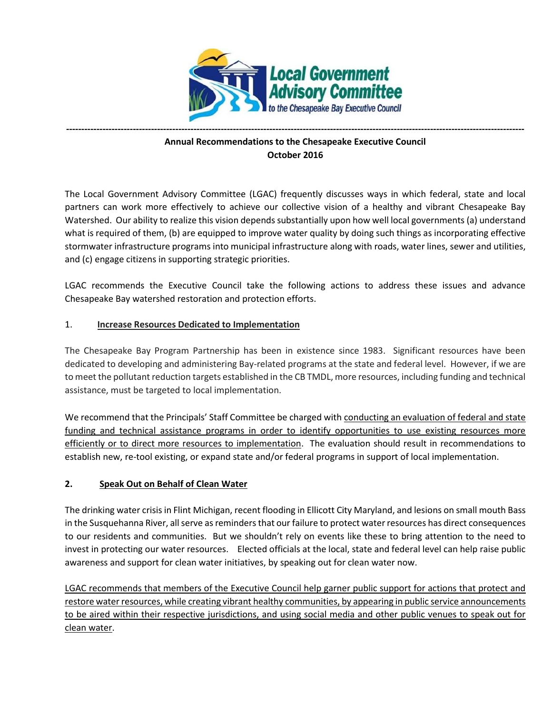

# **Annual Recommendations to the Chesapeake Executive Council October 2016**

**-------------------------------------------------------------------------------------------------------------------------------------------------------**

The Local Government Advisory Committee (LGAC) frequently discusses ways in which federal, state and local partners can work more effectively to achieve our collective vision of a healthy and vibrant Chesapeake Bay Watershed. Our ability to realize this vision depends substantially upon how well local governments (a) understand what is required of them, (b) are equipped to improve water quality by doing such things as incorporating effective stormwater infrastructure programs into municipal infrastructure along with roads, water lines, sewer and utilities, and (c) engage citizens in supporting strategic priorities.

LGAC recommends the Executive Council take the following actions to address these issues and advance Chesapeake Bay watershed restoration and protection efforts.

# 1. **Increase Resources Dedicated to Implementation**

The Chesapeake Bay Program Partnership has been in existence since 1983. Significant resources have been dedicated to developing and administering Bay-related programs at the state and federal level. However, if we are to meet the pollutant reduction targets established in the CB TMDL, more resources, including funding and technical assistance, must be targeted to local implementation.

We recommend that the Principals' Staff Committee be charged with conducting an evaluation of federal and state funding and technical assistance programs in order to identify opportunities to use existing resources more efficiently or to direct more resources to implementation. The evaluation should result in recommendations to establish new, re-tool existing, or expand state and/or federal programs in support of local implementation.

### **2. Speak Out on Behalf of Clean Water**

The drinking water crisis in Flint Michigan, recent flooding in Ellicott City Maryland, and lesions on small mouth Bass in the Susquehanna River, all serve as reminders that our failure to protect water resources has direct consequences to our residents and communities. But we shouldn't rely on events like these to bring attention to the need to invest in protecting our water resources. Elected officials at the local, state and federal level can help raise public awareness and support for clean water initiatives, by speaking out for clean water now.

LGAC recommends that members of the Executive Council help garner public support for actions that protect and restore water resources, while creating vibrant healthy communities, by appearing in public service announcements to be aired within their respective jurisdictions, and using social media and other public venues to speak out for clean water.